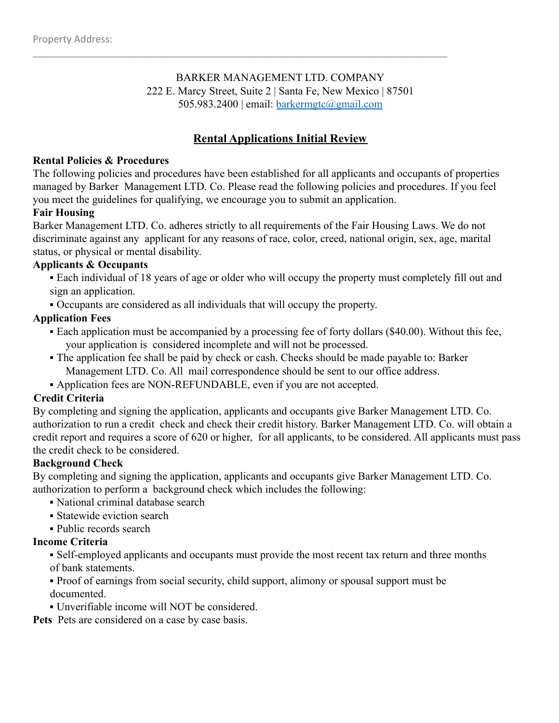# BARKER MANAGEMENT LTD. COMPANY 222 E. Marcy Street, Suite 2 | Santa Fe, New Mexico | 87501 505.983.2400 | email: barkermgtc@gmail.com

\_\_\_\_\_\_\_\_\_\_\_\_\_\_\_\_\_\_\_\_\_\_\_\_\_\_\_\_\_\_\_\_\_\_\_\_\_\_\_\_\_\_\_\_\_\_\_\_\_\_\_\_\_\_\_\_\_\_\_\_\_\_\_\_\_\_\_\_\_\_\_\_\_\_\_\_

# **Rental Applications Initial Review**

#### **Rental Policies & Procedures**

The following policies and procedures have been established for all applicants and occupants of properties managed by Barker Management LTD. Co. Please read the following policies and procedures. If you feel you meet the guidelines for qualifying, we encourage you to submit an application.

#### **Fair Housing**

Barker Management LTD. Co. adheres strictly to all requirements of the Fair Housing Laws. We do not discriminate against any applicant for any reasons of race, color, creed, national origin, sex, age, marital status, or physical or mental disability.

#### **Applicants & Occupants**

- Each individual of 18 years of age or older who will occupy the property must completely fill out and sign an application.
- Occupants are considered as all individuals that will occupy the property.

### **Application Fees**

- Each application must be accompanied by a processing fee of forty dollars (\$40.00). Without this fee, your application is considered incomplete and will not be processed.
- The application fee shall be paid by check or cash. Checks should be made payable to: Barker Management LTD. Co. All mail correspondence should be sent to our office address.
- Application fees are NON-REFUNDABLE, even if you are not accepted.

### **Credit Criteria**

By completing and signing the application, applicants and occupants give Barker Management LTD. Co. authorization to run a credit check and check their credit history. Barker Management LTD. Co. will obtain a credit report and requires a score of 620 or higher, for all applicants, to be considered. All applicants must pass the credit check to be considered.

### **Background Check**

By completing and signing the application, applicants and occupants give Barker Management LTD. Co. authorization to perform a background check which includes the following:

- National criminal database search
- Statewide eviction search
- Public records search

### **Income Criteria**

- Self-employed applicants and occupants must provide the most recent tax return and three months of bank statements.
- Proof of earnings from social security, child support, alimony or spousal support must be documented.
- Unverifiable income will NOT be considered.

Pets Pets are considered on a case by case basis.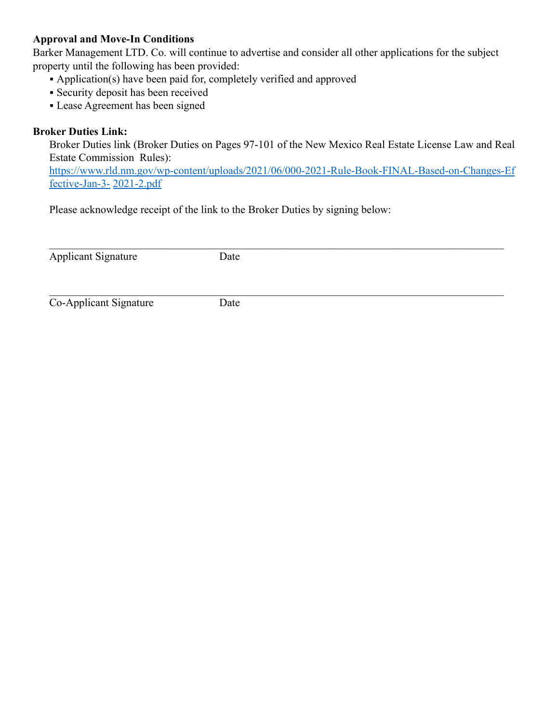### **Approval and Move-In Conditions**

Barker Management LTD. Co. will continue to advertise and consider all other applications for the subject property until the following has been provided:

- Application(s) have been paid for, completely verified and approved
- **Exercity deposit has been received**
- Lease Agreement has been signed

## **Broker Duties Link:**

Broker Duties link (Broker Duties on Pages 97-101 of the New Mexico Real Estate License Law and Real Estate Commission Rules):

https://www.rld.nm.gov/wp-content/uploads/2021/06/000-2021-Rule-Book-FINAL-Based-on-Changes-Ef fective-Jan-3- 2021-2.pdf

Please acknowledge receipt of the link to the Broker Duties by signing below:

| <b>Applicant Signature</b> | Date |  |
|----------------------------|------|--|
|                            |      |  |
|                            |      |  |
|                            |      |  |
|                            |      |  |

Co-Applicant Signature Date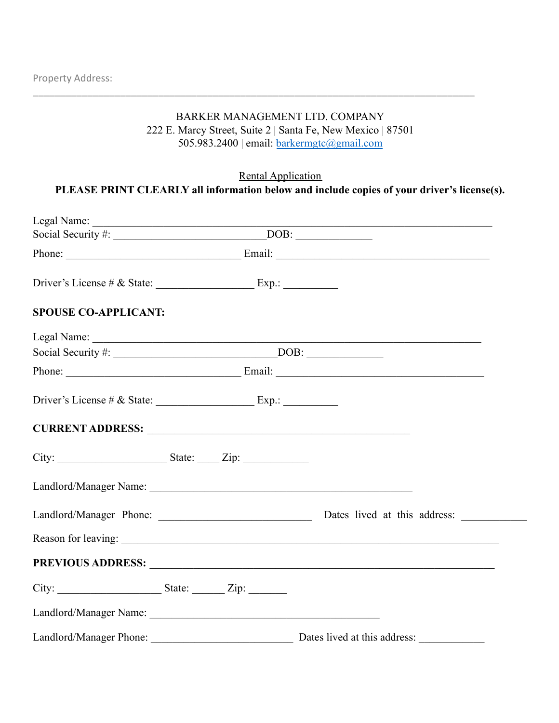### BARKER MANAGEMENT LTD. COMPANY 222 E. Marcy Street, Suite 2 | Santa Fe, New Mexico | 87501

\_\_\_\_\_\_\_\_\_\_\_\_\_\_\_\_\_\_\_\_\_\_\_\_\_\_\_\_\_\_\_\_\_\_\_\_\_\_\_\_\_\_\_\_\_\_\_\_\_\_\_\_\_\_\_\_\_\_\_\_\_\_\_\_\_\_\_\_\_\_\_\_\_\_\_\_\_\_\_\_\_

505.983.2400 | email: barkermgtc@gmail.com

## Rental Application

# **PLEASE PRINT CLEARLY all information below and include copies of your driver's license(s).**

| <b>SPOUSE CO-APPLICANT:</b>                                                                                                                                                                                                    |                              |
|--------------------------------------------------------------------------------------------------------------------------------------------------------------------------------------------------------------------------------|------------------------------|
|                                                                                                                                                                                                                                |                              |
|                                                                                                                                                                                                                                |                              |
|                                                                                                                                                                                                                                |                              |
|                                                                                                                                                                                                                                |                              |
| CURRENT ADDRESS: New York CONSTRAINING CONTROL CONTROL CONTROL CONTROL CONTROL CONTROL CONTROL CONTROL CONTROL CONTROL CONTROL CONTROL CONTROL CONTROL CONTROL CONTROL CONTROL CONTROL CONTROL CONTROL CONTROL CONTROL CONTROL |                              |
|                                                                                                                                                                                                                                |                              |
|                                                                                                                                                                                                                                |                              |
|                                                                                                                                                                                                                                |                              |
|                                                                                                                                                                                                                                |                              |
|                                                                                                                                                                                                                                |                              |
|                                                                                                                                                                                                                                |                              |
|                                                                                                                                                                                                                                |                              |
| Landlord/Manager Phone:                                                                                                                                                                                                        | Dates lived at this address: |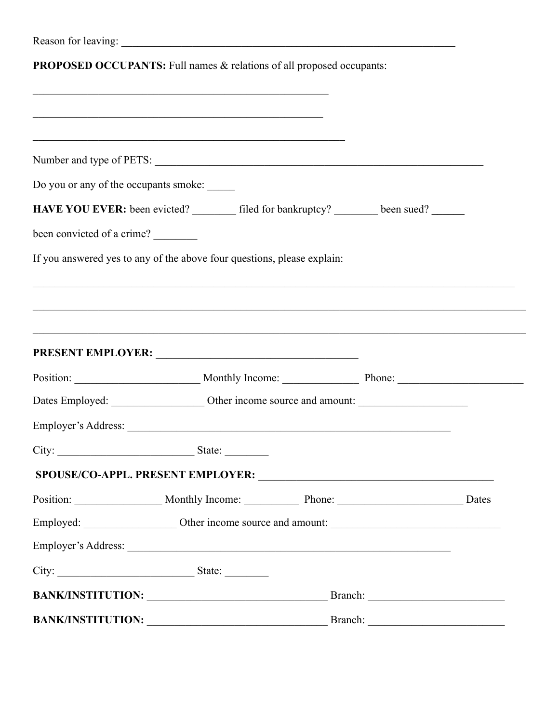|                                             | PROPOSED OCCUPANTS: Full names & relations of all proposed occupants:                                                 |                                                                                                                                                                                                                               |  |  |
|---------------------------------------------|-----------------------------------------------------------------------------------------------------------------------|-------------------------------------------------------------------------------------------------------------------------------------------------------------------------------------------------------------------------------|--|--|
|                                             | <u> 1999 - Johann John Stone, Amerikaansk politiker (d. 1989)</u>                                                     |                                                                                                                                                                                                                               |  |  |
|                                             | <u> 1999 - 1999 - 1999 - 1999 - 1999 - 1999 - 1999 - 1999 - 1999 - 1999 - 1999 - 1999 - 1999 - 1999 - 1999 - 199</u>  |                                                                                                                                                                                                                               |  |  |
|                                             |                                                                                                                       |                                                                                                                                                                                                                               |  |  |
| Do you or any of the occupants smoke: _____ |                                                                                                                       |                                                                                                                                                                                                                               |  |  |
|                                             | HAVE YOU EVER: been evicted? ________ filed for bankruptcy? ________ been sued? ______                                |                                                                                                                                                                                                                               |  |  |
| been convicted of a crime?                  |                                                                                                                       |                                                                                                                                                                                                                               |  |  |
|                                             | If you answered yes to any of the above four questions, please explain:                                               |                                                                                                                                                                                                                               |  |  |
|                                             | ,我们也不能在这里的人,我们也不能在这里的人,我们也不能不能不能不能不能不能不能不能不能不能不能不能不能。""我们的人,我们也不能不能不能不能不能不能不能不能不能                                     |                                                                                                                                                                                                                               |  |  |
|                                             |                                                                                                                       |                                                                                                                                                                                                                               |  |  |
|                                             | <u> 1989 - Johann Stoff, deutscher Stoff, der Stoff, der Stoff, der Stoff, der Stoff, der Stoff, der Stoff, der S</u> |                                                                                                                                                                                                                               |  |  |
|                                             |                                                                                                                       |                                                                                                                                                                                                                               |  |  |
|                                             | Position: Monthly Income: Phone: Phone: Phone:                                                                        |                                                                                                                                                                                                                               |  |  |
|                                             |                                                                                                                       |                                                                                                                                                                                                                               |  |  |
|                                             |                                                                                                                       |                                                                                                                                                                                                                               |  |  |
|                                             | City: State:                                                                                                          |                                                                                                                                                                                                                               |  |  |
|                                             |                                                                                                                       |                                                                                                                                                                                                                               |  |  |
|                                             | Position: Monthly Income: Phone: Phone: Dates                                                                         |                                                                                                                                                                                                                               |  |  |
|                                             |                                                                                                                       |                                                                                                                                                                                                                               |  |  |
|                                             |                                                                                                                       |                                                                                                                                                                                                                               |  |  |
|                                             | City: State: State:                                                                                                   |                                                                                                                                                                                                                               |  |  |
|                                             | BANK/INSTITUTION: Bank Branch:                                                                                        |                                                                                                                                                                                                                               |  |  |
| <b>BANK/INSTITUTION:</b>                    |                                                                                                                       | Branch: The Company of the Company of the Company of the Company of the Company of the Company of the Company of the Company of the Company of the Company of the Company of the Company of the Company of the Company of the |  |  |